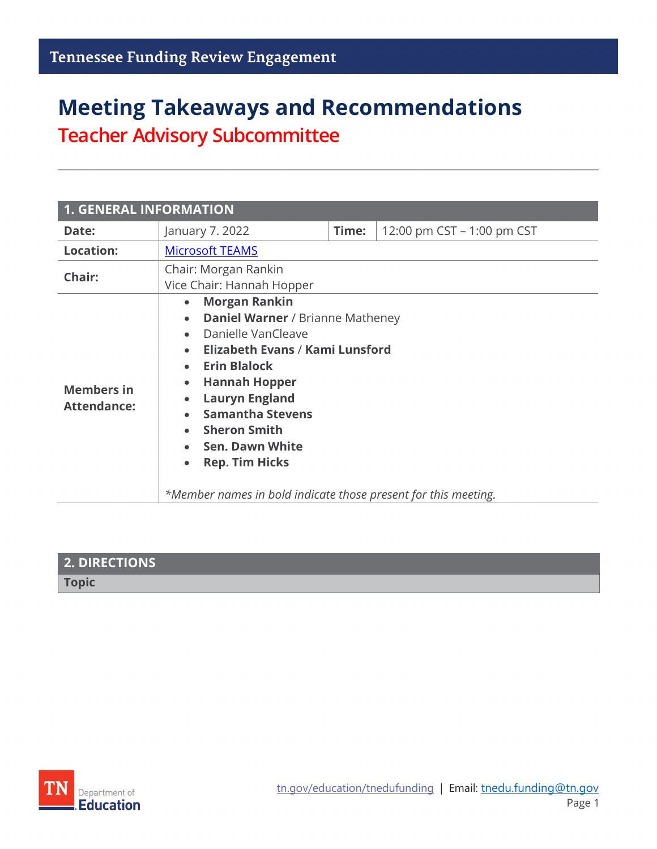# **Meeting Takeaways and Recommendations Teacher Advisory Subcommittee**

| <b>1. GENERAL INFORMATION</b>           |                                                                                                                                                                                                                                                                                                                                                                                                                                                 |       |                            |
|-----------------------------------------|-------------------------------------------------------------------------------------------------------------------------------------------------------------------------------------------------------------------------------------------------------------------------------------------------------------------------------------------------------------------------------------------------------------------------------------------------|-------|----------------------------|
| Date:                                   | January 7. 2022                                                                                                                                                                                                                                                                                                                                                                                                                                 | Time: | 12:00 pm CST – 1:00 pm CST |
| <b>Location:</b>                        | <b>Microsoft TEAMS</b>                                                                                                                                                                                                                                                                                                                                                                                                                          |       |                            |
| Chair:                                  | Chair: Morgan Rankin<br>Vice Chair: Hannah Hopper                                                                                                                                                                                                                                                                                                                                                                                               |       |                            |
| <b>Members in</b><br><b>Attendance:</b> | <b>Morgan Rankin</b><br>$\bullet$<br><b>Daniel Warner / Brianne Matheney</b><br>$\bullet$<br>Danielle VanCleave<br><b>Elizabeth Evans / Kami Lunsford</b><br><b>Erin Blalock</b><br><b>Hannah Hopper</b><br>$\bullet$<br><b>Lauryn England</b><br>$\bullet$<br><b>Samantha Stevens</b><br><b>Sheron Smith</b><br><b>Sen. Dawn White</b><br><b>Rep. Tim Hicks</b><br>$\bullet$<br>*Member names in bold indicate those present for this meeting. |       |                            |

| <b>2. DIRECTIONS</b> |  |
|----------------------|--|
| <b>Topic</b>         |  |

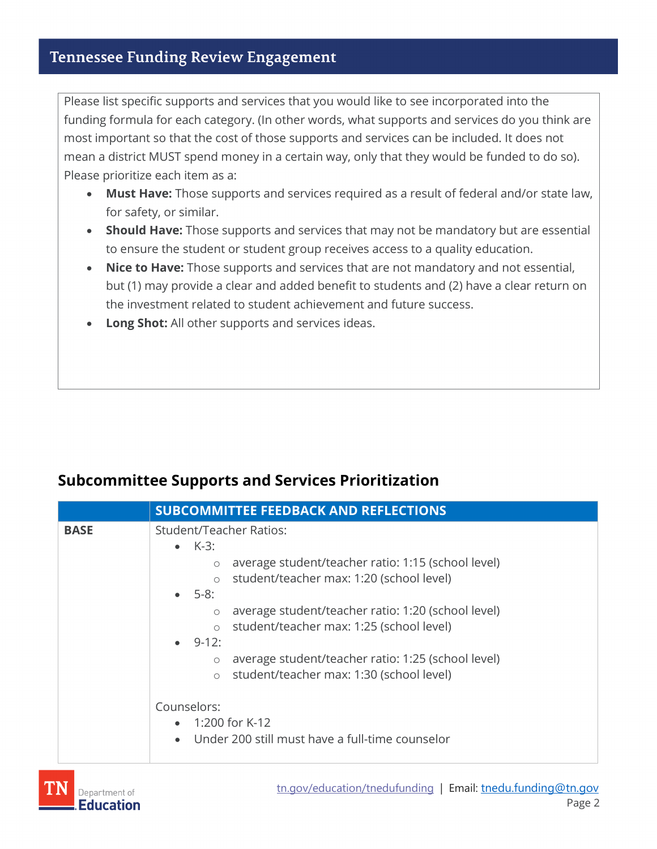#### **Tennessee Funding Review Engagement**

Please list specific supports and services that you would like to see incorporated into the funding formula for each category. (In other words, what supports and services do you think are most important so that the cost of those supports and services can be included. It does not mean a district MUST spend money in a certain way, only that they would be funded to do so). Please prioritize each item as a:

- **Must Have:** Those supports and services required as a result of federal and/or state law, for safety, or similar.
- **Should Have:** Those supports and services that may not be mandatory but are essential to ensure the student or student group receives access to a quality education.
- **Nice to Have:** Those supports and services that are not mandatory and not essential, but (1) may provide a clear and added benefit to students and (2) have a clear return on the investment related to student achievement and future success.
- **Long Shot:** All other supports and services ideas.

### **Subcommittee Supports and Services Prioritization**

|             | <b>SUBCOMMITTEE FEEDBACK AND REFLECTIONS</b>                                                                                                                                                                                                                                                                                                                                                                                                                                                                                           |  |
|-------------|----------------------------------------------------------------------------------------------------------------------------------------------------------------------------------------------------------------------------------------------------------------------------------------------------------------------------------------------------------------------------------------------------------------------------------------------------------------------------------------------------------------------------------------|--|
| <b>BASE</b> | <b>Student/Teacher Ratios:</b>                                                                                                                                                                                                                                                                                                                                                                                                                                                                                                         |  |
|             | $\bullet$ K-3:<br>average student/teacher ratio: 1:15 (school level)<br>$\circ$<br>student/teacher max: 1:20 (school level)<br>$\circ$<br>$\bullet$ 5-8:<br>average student/teacher ratio: 1:20 (school level)<br>$\circ$<br>student/teacher max: 1:25 (school level)<br>$\circ$<br>$\bullet$ 9-12:<br>average student/teacher ratio: 1:25 (school level)<br>$\circ$<br>student/teacher max: 1:30 (school level)<br>$\circ$<br>Counselors:<br>$\bullet$ 1:200 for K-12<br>Under 200 still must have a full-time counselor<br>$\bullet$ |  |

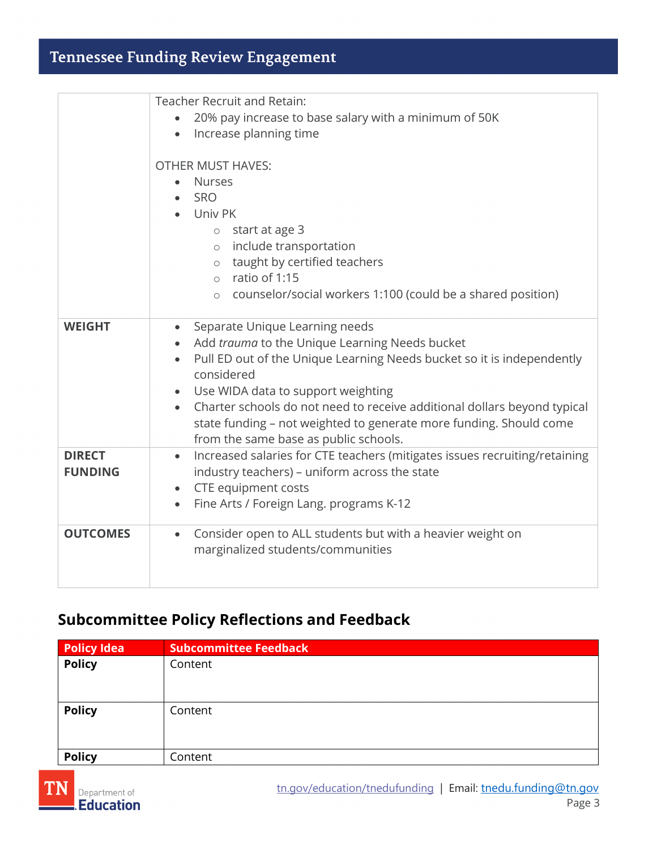# **Tennessee Funding Review Engagement**

|                                 | <b>Teacher Recruit and Retain:</b><br>20% pay increase to base salary with a minimum of 50K<br>Increase planning time<br>$\bullet$<br><b>OTHER MUST HAVES:</b><br><b>Nurses</b><br>$\bullet$<br>SRO<br>Univ PK<br>start at age 3<br>$\circ$<br>include transportation<br>$\circ$<br>taught by certified teachers<br>$\circ$<br>ratio of 1:15<br>$\circ$<br>counselor/social workers 1:100 (could be a shared position)<br>$\circ$                |
|---------------------------------|--------------------------------------------------------------------------------------------------------------------------------------------------------------------------------------------------------------------------------------------------------------------------------------------------------------------------------------------------------------------------------------------------------------------------------------------------|
| <b>WEIGHT</b>                   | Separate Unique Learning needs<br>$\bullet$<br>Add trauma to the Unique Learning Needs bucket<br>Pull ED out of the Unique Learning Needs bucket so it is independently<br>considered<br>Use WIDA data to support weighting<br>$\bullet$<br>Charter schools do not need to receive additional dollars beyond typical<br>$\bullet$<br>state funding - not weighted to generate more funding. Should come<br>from the same base as public schools. |
| <b>DIRECT</b><br><b>FUNDING</b> | Increased salaries for CTE teachers (mitigates issues recruiting/retaining<br>$\bullet$<br>industry teachers) - uniform across the state<br>CTE equipment costs<br>$\bullet$<br>Fine Arts / Foreign Lang. programs K-12<br>$\bullet$                                                                                                                                                                                                             |
| <b>OUTCOMES</b>                 | Consider open to ALL students but with a heavier weight on<br>$\bullet$<br>marginalized students/communities                                                                                                                                                                                                                                                                                                                                     |

## **Subcommittee Policy Reflections and Feedback**

| <b>Policy Idea</b> | <b>Subcommittee Feedback</b> |
|--------------------|------------------------------|
| <b>Policy</b>      | Content                      |
| <b>Policy</b>      | Content                      |
| <b>Policy</b>      | Content                      |